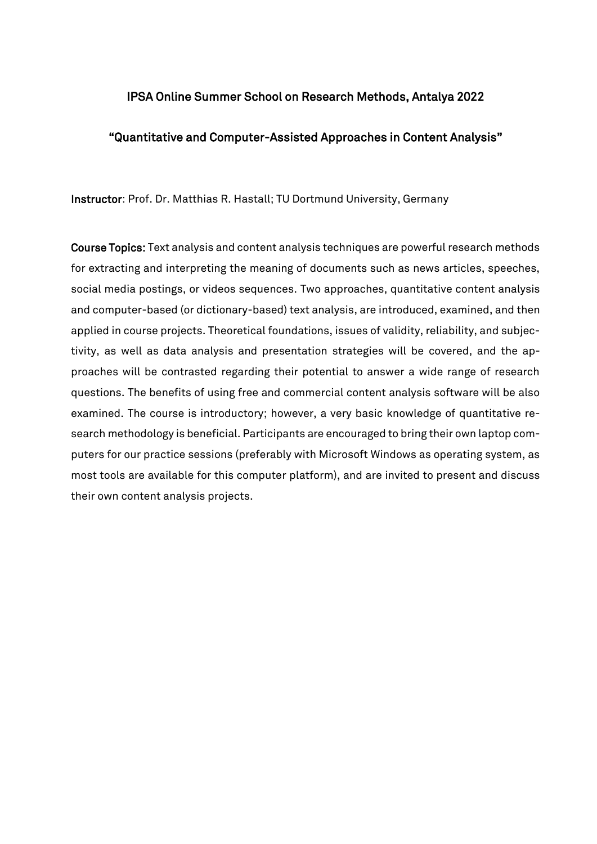## IPSA Online Summer School on Research Methods, Antalya 2022

## "Quantitative and Computer-Assisted Approaches in Content Analysis"

Instructor: Prof. Dr. Matthias R. Hastall; TU Dortmund University, Germany

Course Topics: Text analysis and content analysis techniques are powerful research methods for extracting and interpreting the meaning of documents such as news articles, speeches, social media postings, or videos sequences. Two approaches, quantitative content analysis and computer-based (or dictionary-based) text analysis, are introduced, examined, and then applied in course projects. Theoretical foundations, issues of validity, reliability, and subjectivity, as well as data analysis and presentation strategies will be covered, and the approaches will be contrasted regarding their potential to answer a wide range of research questions. The benefits of using free and commercial content analysis software will be also examined. The course is introductory; however, a very basic knowledge of quantitative research methodology is beneficial. Participants are encouraged to bring their own laptop computers for our practice sessions (preferably with Microsoft Windows as operating system, as most tools are available for this computer platform), and are invited to present and discuss their own content analysis projects.